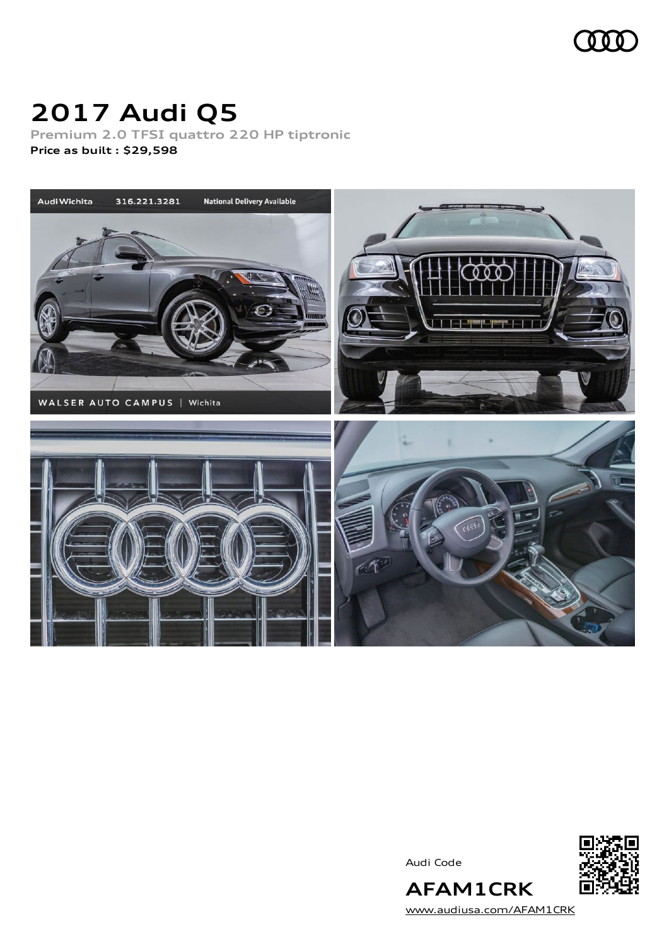

# **2017 Audi Q5**

**Premium 2.0 TFSI quattro 220 HP tiptronic Price as built [:](#page-9-0) \$29,598**



Audi Code



**AFAM1CRK** [www.audiusa.com/AFAM1CRK](https://www.audiusa.com/AFAM1CRK)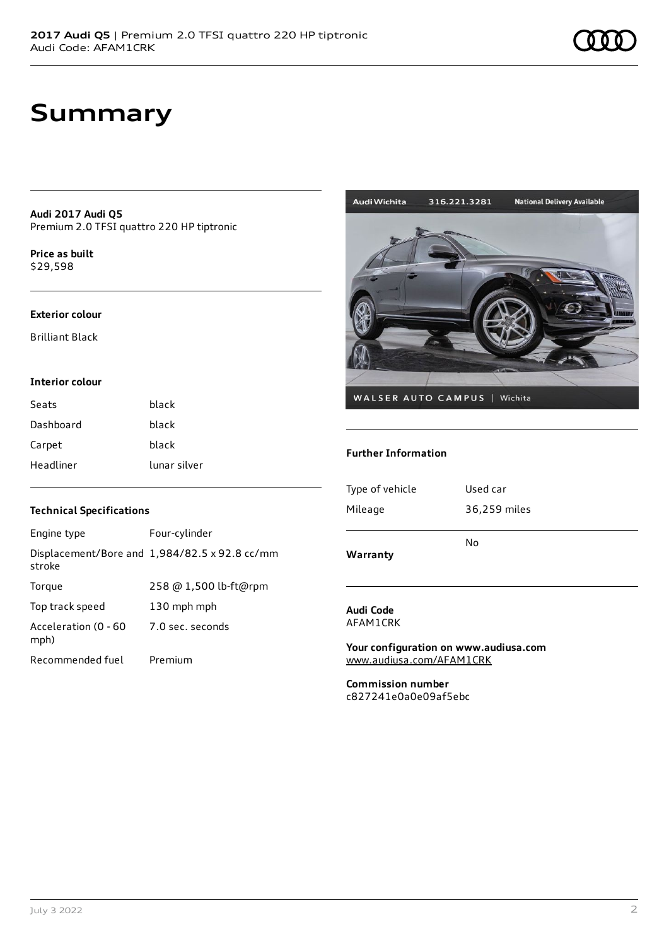**Audi 2017 Audi Q5** Premium 2.0 TFSI quattro 220 HP tiptronic

**Price as buil[t](#page-9-0)** \$29,598

#### **Exterior colour**

Brilliant Black

### **Interior colour**

| Seats     | black        |
|-----------|--------------|
| Dashboard | black        |
| Carpet    | black        |
| Headliner | lunar silver |

### **Technical Specifications**

| Engine type                  | Four-cylinder                                 |
|------------------------------|-----------------------------------------------|
| stroke                       | Displacement/Bore and 1,984/82.5 x 92.8 cc/mm |
| Torque                       | 258 @ 1,500 lb-ft@rpm                         |
| Top track speed              | 130 mph mph                                   |
| Acceleration (0 - 60<br>mph) | 7.0 sec. seconds                              |
| Recommended fuel             | Premium                                       |



### **Further Information**

| Warranty        | No           |
|-----------------|--------------|
|                 |              |
| Mileage         | 36,259 miles |
|                 |              |
| Type of vehicle | Used car     |
|                 |              |

### **Audi Code** AFAM1CRK

**Your configuration on www.audiusa.com** [www.audiusa.com/AFAM1CRK](https://www.audiusa.com/AFAM1CRK)

**Commission number** c827241e0a0e09af5ebc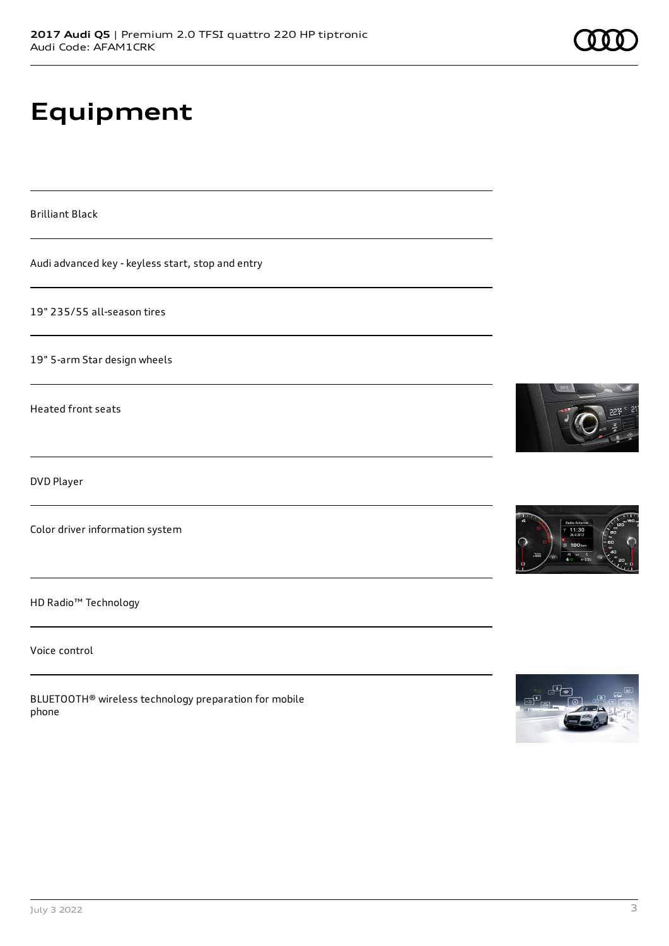# **Equipment**

Brilliant Black

Audi advanced key - keyless start, stop and entry

19" 235/55 all-season tires

19" 5-arm Star design wheels

Heated front seats

DVD Player

Color driver information system

HD Radio™ Technology

Voice control

BLUETOOTH® wireless technology preparation for mobile phone





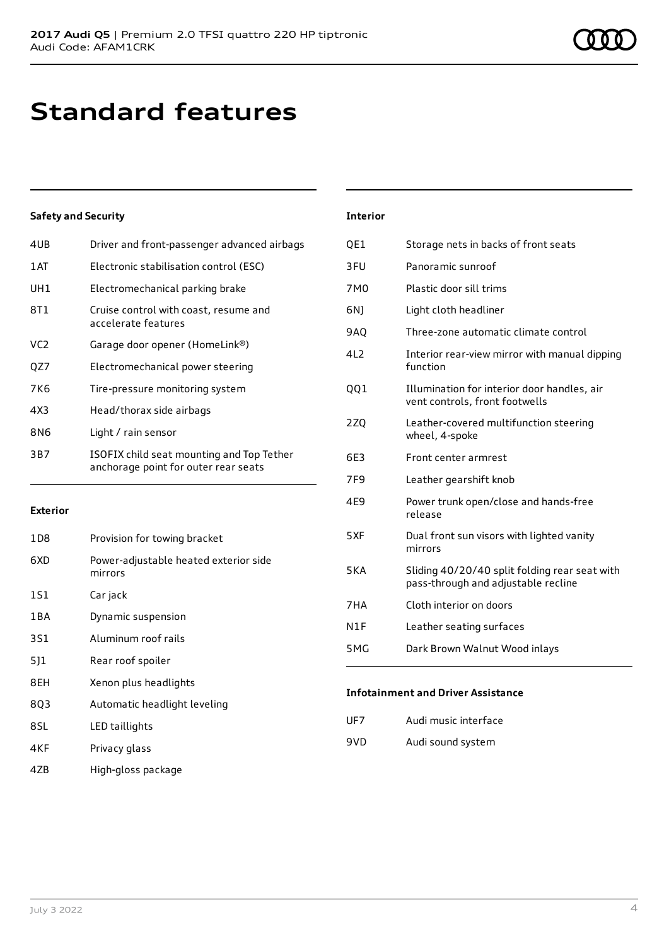## **Standard features**

## **Safety and Security**

| 4UB  | Driver and front-passenger advanced airbags                                       |
|------|-----------------------------------------------------------------------------------|
| 1 AT | Electronic stabilisation control (ESC)                                            |
| UH1  | Electromechanical parking brake                                                   |
| 8T1  | Cruise control with coast, resume and<br>accelerate features                      |
| VC2  | Garage door opener (HomeLink®)                                                    |
| QZ7  | Electromechanical power steering                                                  |
| 7K6  | Tire-pressure monitoring system                                                   |
| 4X3  | Head/thorax side airbags                                                          |
| 8N6  | Light / rain sensor                                                               |
| 3B7  | ISOFIX child seat mounting and Top Tether<br>anchorage point for outer rear seats |
|      |                                                                                   |

### **Exterior**

| 1D <sub>8</sub> | Provision for towing bracket                     |
|-----------------|--------------------------------------------------|
| 6XD             | Power-adjustable heated exterior side<br>mirrors |
| 1S1             | Car jack                                         |
| 1 B A           | Dynamic suspension                               |
| 3S1             | Aluminum roof rails                              |
| 5]1             | Rear roof spoiler                                |
| 8EH             | Xenon plus headlights                            |
| 8Q3             | Automatic headlight leveling                     |
| 8SL             | LED taillights                                   |
| 4KF             | Privacy glass                                    |
|                 |                                                  |

4ZB High-gloss package

## **Interior**

| Storage nets in backs of front seats                                                 |
|--------------------------------------------------------------------------------------|
| Panoramic sunroof                                                                    |
| Plastic door sill trims                                                              |
| Light cloth headliner                                                                |
| Three-zone automatic climate control                                                 |
| Interior rear-view mirror with manual dipping<br>function                            |
| Illumination for interior door handles, air<br>vent controls, front footwells        |
| Leather-covered multifunction steering<br>wheel, 4-spoke                             |
| Front center armrest                                                                 |
| Leather gearshift knob                                                               |
| Power trunk open/close and hands-free<br>release                                     |
| Dual front sun visors with lighted vanity<br>mirrors                                 |
| Sliding 40/20/40 split folding rear seat with<br>pass-through and adjustable recline |
| Cloth interior on doors                                                              |
| Leather seating surfaces                                                             |
| Dark Brown Walnut Wood inlays                                                        |
|                                                                                      |

### **Infotainment and Driver Assistance**

| UF7 | Audi music interface |
|-----|----------------------|
| 9VD | Audi sound system    |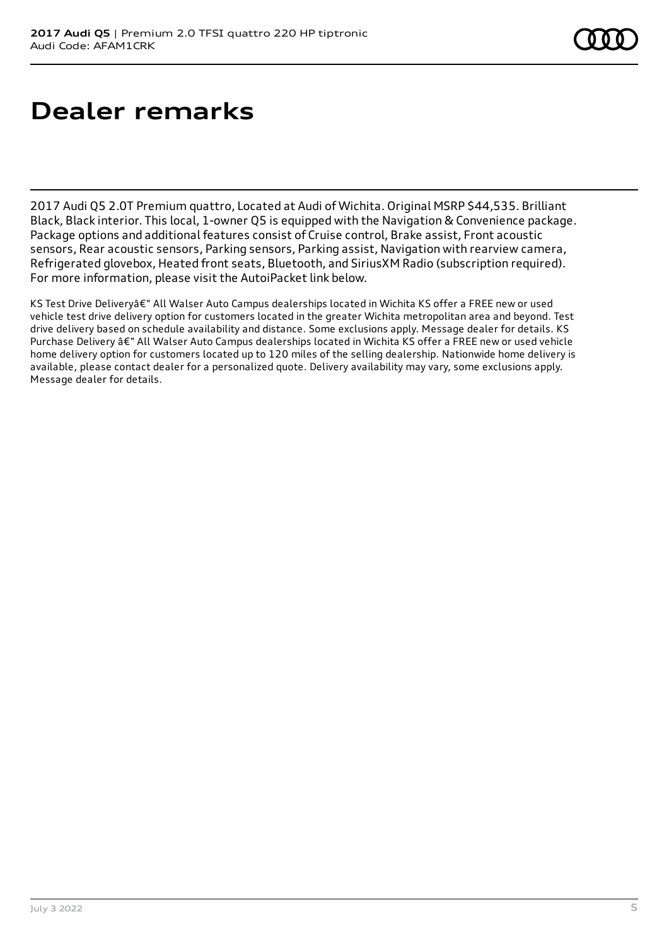# **Dealer remarks**

2017 Audi Q5 2.0T Premium quattro, Located at Audi of Wichita. Original MSRP \$44,535. Brilliant Black, Black interior. This local, 1-owner Q5 is equipped with the Navigation & Convenience package. Package options and additional features consist of Cruise control, Brake assist, Front acoustic sensors, Rear acoustic sensors, Parking sensors, Parking assist, Navigation with rearview camera, Refrigerated glovebox, Heated front seats, Bluetooth, and SiriusXM Radio (subscription required). For more information, please visit the AutoiPacket link below.

KS Test Drive Deliveryâ€" All Walser Auto Campus dealerships located in Wichita KS offer a FREE new or used vehicle test drive delivery option for customers located in the greater Wichita metropolitan area and beyond. Test drive delivery based on schedule availability and distance. Some exclusions apply. Message dealer for details. KS Purchase Delivery â€" All Walser Auto Campus dealerships located in Wichita KS offer a FREE new or used vehicle home delivery option for customers located up to 120 miles of the selling dealership. Nationwide home delivery is available, please contact dealer for a personalized quote. Delivery availability may vary, some exclusions apply. Message dealer for details.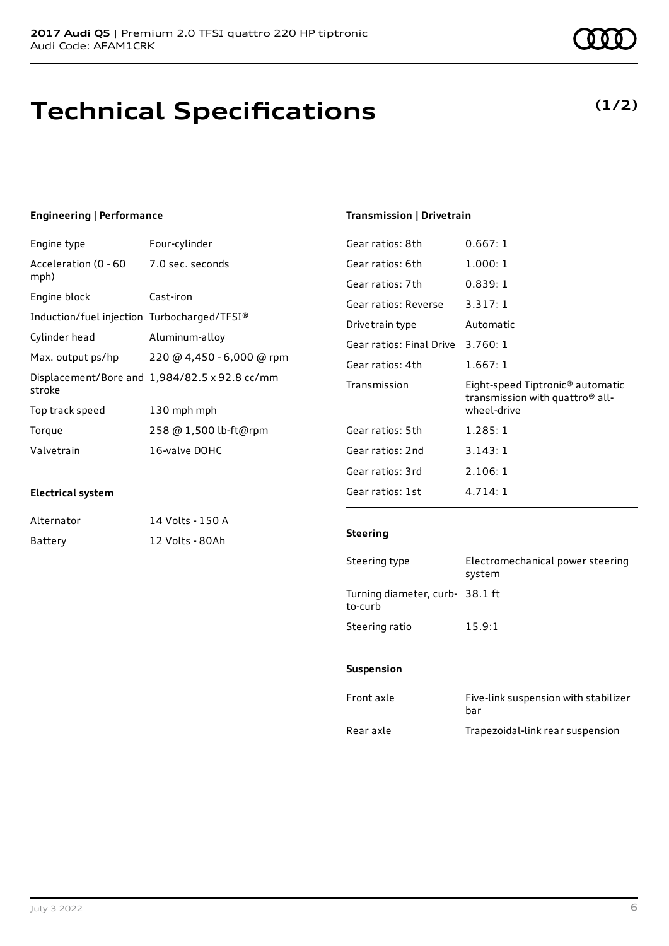## **Technical Specifications**

## **Engineering | Performance**

| Four-cylinder                                 |
|-----------------------------------------------|
| Acceleration (0 - 60<br>7.0 sec. seconds      |
| Cast-iron                                     |
| Induction/fuel injection Turbocharged/TFSI®   |
| Aluminum-alloy                                |
| 220 @ 4,450 - 6,000 @ rpm                     |
| Displacement/Bore and 1,984/82.5 x 92.8 cc/mm |
| 130 mph mph                                   |
| 258 @ 1,500 lb-ft@rpm                         |
| 16-valve DOHC                                 |
|                                               |

## **Transmission | Drivetrain**

| Gear ratios: 8th         | 0.667:1                                                                                        |
|--------------------------|------------------------------------------------------------------------------------------------|
| Gear ratios: 6th         | 1.000:1                                                                                        |
| Gear ratios: 7th         | 0.839:1                                                                                        |
| Gear ratios: Reverse     | 3.317:1                                                                                        |
| Drivetrain type          | Automatic                                                                                      |
| Gear ratios: Final Drive | 3.760:1                                                                                        |
| Gear ratios: 4th         | 1.667:1                                                                                        |
|                          |                                                                                                |
| Transmission             | Eight-speed Tiptronic <sup>®</sup> automatic<br>transmission with quattro® all-<br>wheel-drive |
| Gear ratios: 5th         | 1.285:1                                                                                        |
| Gear ratios: 2nd         | 3.143:1                                                                                        |
| Gear ratios: 3rd         | 2.106:1                                                                                        |

## **Electrical system**

| Alternator | 14 Volts - 150 A |
|------------|------------------|
| Battery    | 12 Volts - 80Ah  |

## **Steering**

| Steering type                             | Electromechanical power steering<br>system |
|-------------------------------------------|--------------------------------------------|
| Turning diameter, curb-38.1 ft<br>to-curb |                                            |
| Steering ratio                            | 15.9:1                                     |

## **Suspension**

| Front axle | Five-link suspension with stabilizer<br>bar |
|------------|---------------------------------------------|
| Rear axle  | Trapezoidal-link rear suspension            |

## **(1/2)**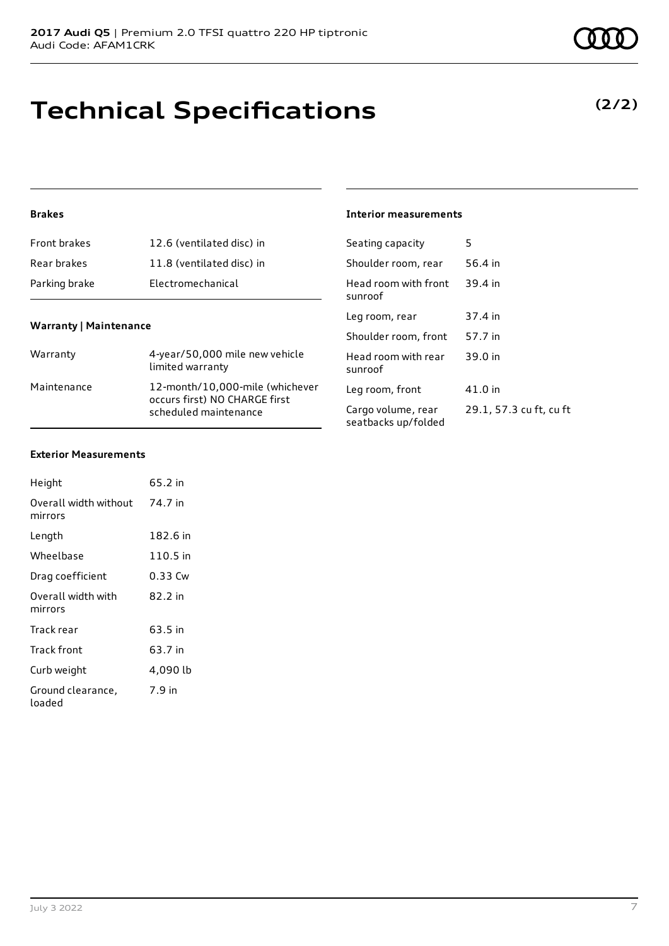# **Technical Specifications**

## **Brakes**

| Front brakes  | 12.6 (ventilated disc) in |
|---------------|---------------------------|
| Rear brakes   | 11.8 (ventilated disc) in |
| Parking brake | Electromechanical         |

## **Warranty | Maintenance**

| Warranty    | 4-year/50,000 mile new vehicle<br>limited warranty                                        |
|-------------|-------------------------------------------------------------------------------------------|
| Maintenance | 12-month/10,000-mile (whichever<br>occurs first) NO CHARGE first<br>scheduled maintenance |

## **Interior measurements**

| Seating capacity                          | 5                       |
|-------------------------------------------|-------------------------|
| Shoulder room, rear                       | 56.4 in                 |
| Head room with front<br>sunroof           | 39.4 in                 |
| Leg room, rear                            | 37.4 in                 |
| Shoulder room, front                      | 57.7 in                 |
| Head room with rear<br>sunroof            | 39.0 in                 |
| Leg room, front                           | 41.0 in                 |
| Cargo volume, rear<br>seatbacks up/folded | 29.1, 57.3 cu ft, cu ft |

#### **Exterior Measurements**

| Height                           | 65.2 in  |
|----------------------------------|----------|
| Overall width without<br>mirrors | 74.7 in  |
| Length                           | 182.6 in |
| Wheelbase                        | 110.5 in |
| Drag coefficient                 | 0.33 Cw  |
| Overall width with<br>mirrors    | 82.2 in  |
| Track rear                       | 63.5 in  |
| Track front                      | 63.7 in  |
| Curb weight                      | 4,090 lb |
| Ground clearance,<br>loaded      | 7.9 in   |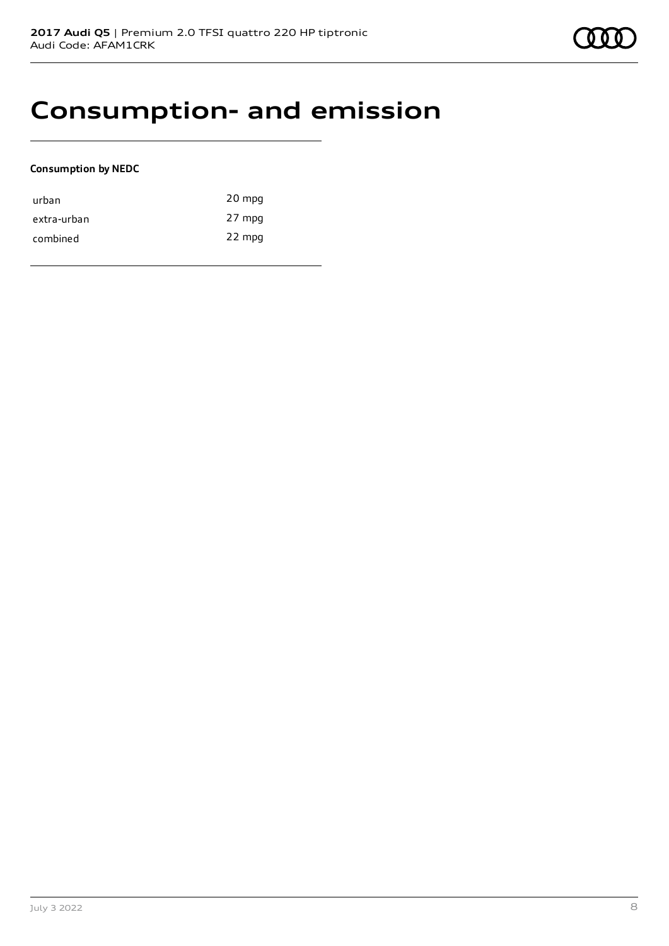## **Consumption- and emission**

## **Consumption by NEDC**

| urban       | 20 mpg |
|-------------|--------|
| extra-urban | 27 mpg |
| combined    | 22 mpg |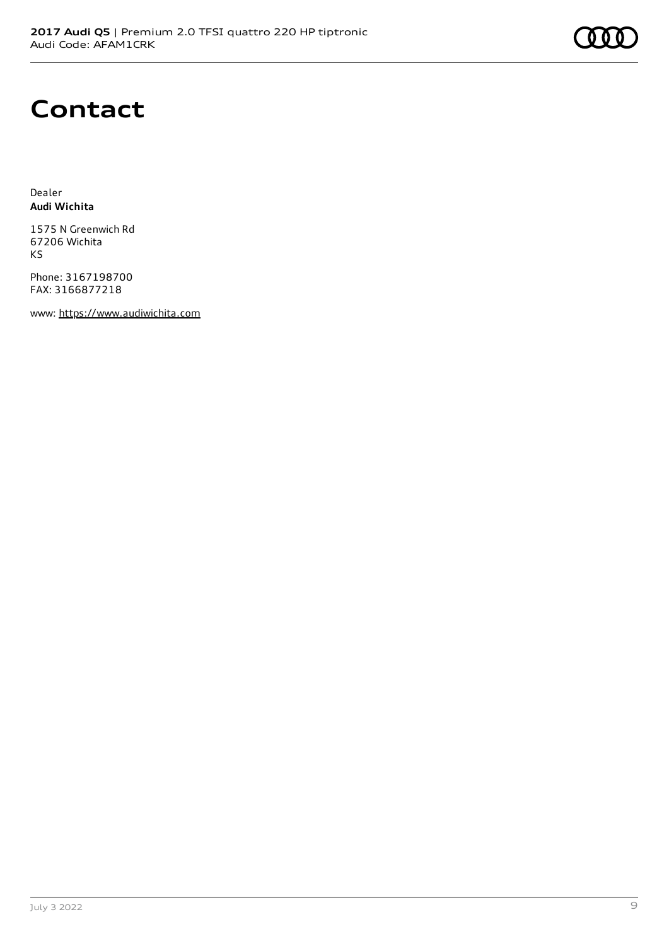

## **Contact**

Dealer **Audi Wichita**

1575 N Greenwich Rd 67206 Wichita KS

Phone: 3167198700 FAX: 3166877218

www: [https://www.audiwichita.com](https://www.audiwichita.com/)